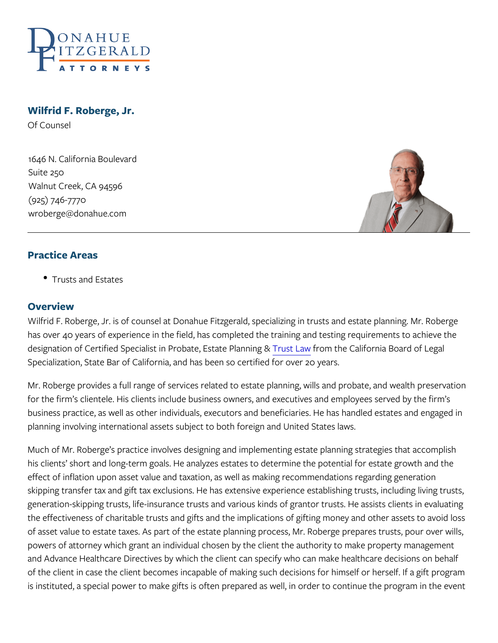Wilfrid F. Roberge, Jr. Of Counsel

1646 N. California Boulevard Suite 250 Walnut Creek, CA 94596 (925) 746-7770 wroberge@donahue.com

## Practice Areas

Trusts and Estates

#### Overview

Wilfrid F. Roberge, Jr. is of counsel at Donahue Fitzgerald, special has over 40 years of experience in the field, has completed the tra designation of Certified Specialist in Partolistaten, the CateliPloannan Board Specialization, State Bar of California, and has been so certified fo

Mr. Roberge provides a full range of services related to estate plar for the firm s clientele. His clients include business owners, and ex business practice, as well as other individuals, executors and bene planning involving international assets subject to both foreign and

Much of Mr. Roberge s practice involves designing and implementin his clients short and long-term goals. He analyzes estates to dete effect of inflation upon asset value and taxation, as well as making skipping transfer tax and gift tax exclusions. He has extensive exp generation-skipping trusts, life-insurance trusts and various kinds the effectiveness of charitable trusts and gifts and the implications of asset value to estate taxes. As part of the estate planning proce powers of attorney which grant an individual chosen by the client the and Advance Healthcare Directives by which the client can specify of the client in case the client becomes incapable of making such d is instituted, a special power to make gifts is often prepared as we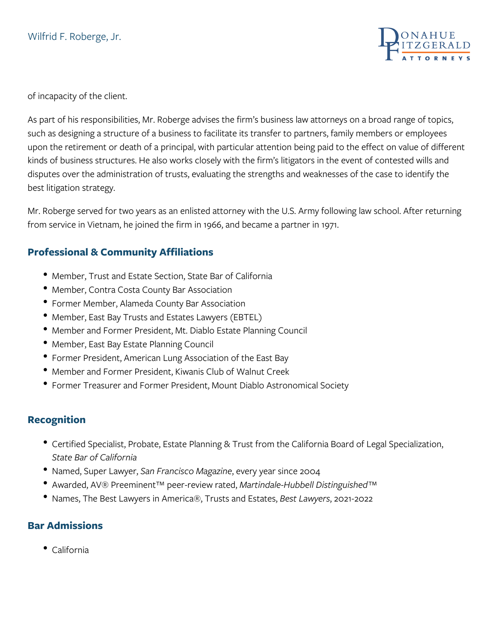

of incapacity of the client.

As part of his responsibilities, Mr. Roberge advises the firm's business law attorneys on a broad range of topics, such as designing a structure of a business to facilitate its transfer to partners, family members or employees upon the retirement or death of a principal, with particular attention being paid to the effect on value of different kinds of business structures. He also works closely with the firm's litigators in the event of contested wills and disputes over the administration of trusts, evaluating the strengths and weaknesses of the case to identify the best litigation strategy.

Mr. Roberge served for two years as an enlisted attorney with the U.S. Army following law school. After returning from service in Vietnam, he joined the firm in 1966, and became a partner in 1971.

### **Professional & Community Affiliations**

- Member, Trust and Estate Section, State Bar of California
- Member, Contra Costa County Bar Association
- Former Member, Alameda County Bar Association
- Member, East Bay Trusts and Estates Lawyers (EBTEL)
- Member and Former President, Mt. Diablo Estate Planning Council
- **Member, East Bay Estate Planning Council**
- Former President, American Lung Association of the East Bay
- Member and Former President, Kiwanis Club of Walnut Creek
- Former Treasurer and Former President, Mount Diablo Astronomical Society

### **Recognition**

- Certified Specialist, Probate, Estate Planning & Trust from the California Board of Legal Specialization, *State Bar of California*
- Named, Super Lawyer, *San Francisco Magazine*, every year since 2004
- Awarded, AV® Preeminent™ peer-review rated, *Martindale-Hubbell Distinguished™*
- Names, The Best Lawyers in America®, Trusts and Estates, *Best Lawyers*, 2021-2022

### **Bar Admissions**

California